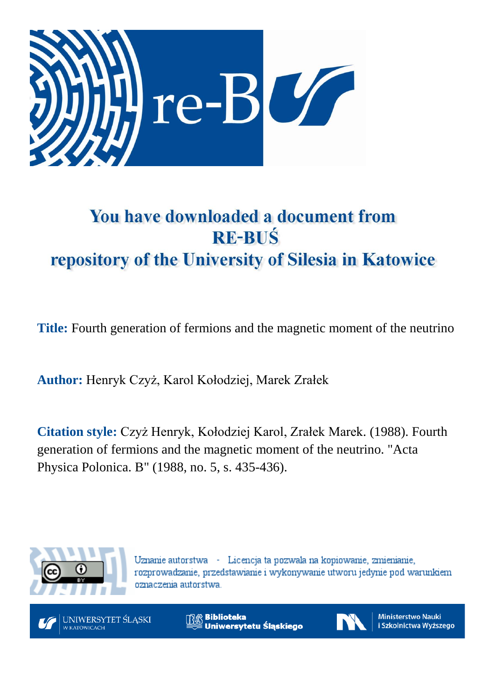

## You have downloaded a document from **RE-BUŚ** repository of the University of Silesia in Katowice

**Title:** Fourth generation of fermions and the magnetic moment of the neutrino

**Author:** Henryk Czyż, Karol Kołodziej, Marek Zrałek

**Citation style:** Czyż Henryk, Kołodziej Karol, Zrałek Marek. (1988). Fourth generation of fermions and the magnetic moment of the neutrino. "Acta Physica Polonica. B" (1988, no. 5, s. 435-436).



Uznanie autorstwa - Licencja ta pozwala na kopiowanie, zmienianie, rozprowadzanie, przedstawianie i wykonywanie utworu jedynie pod warunkiem oznaczenia autorstwa.



**Biblioteka** Uniwersytetu Śląskiego



**Ministerstwo Nauki** i Szkolnictwa Wyższego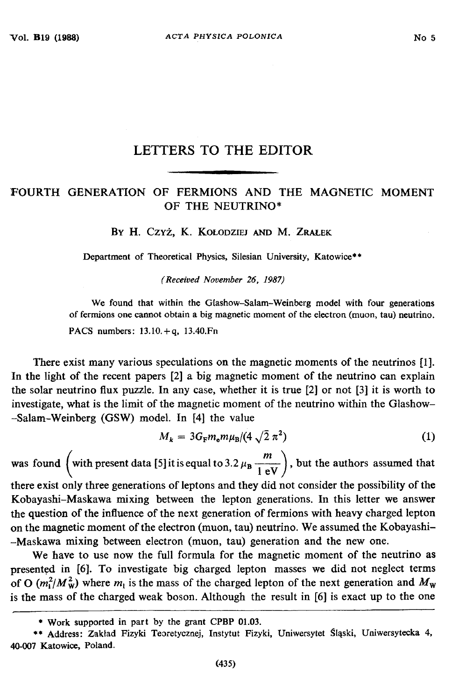## **LETTERS TO THE EDITOR**

## FOURTH GENERATION OF FERMIONS AND THE MAGNETIC MOMENT OF THE NEUTRINO\*

**B y H . C z y ż , K . K o ł o d z ie j a n d M . Z r a l e k**

Department of Theoretical Physics, Silesian University, Katowice\*\*

*(Received November 26, 1987)*

We found that within the Glashow-Salam-Weinberg model with four generations of fermions one cannot obtain a big magnetic moment of the electron (muon, tau) neutrino. **PACS numbers: 13.10.+ q, 13.40.Fn**

There exist many various speculations on the magnetic moments of the neutrinos [1]. In the light of the recent papers [2] a big magnetic moment of the neutrino can explain the solar neutrino flux puzzle. In any case, whether it is true [2] or not [3] it is worth to investigate, what is the limit of the magnetic moment of the neutrino within the Glashow- -Salam-Weinberg (GSW) model. In [4] the value

$$
M_k = 3G_{\rm F}m_{\rm e}m\mu_{\rm B}/(4\sqrt{2}\,\pi^2)
$$
 (1)

was found  $\left(\text{with present data [5] it is equal to 3.2 }\mu_{\text{B}} \frac{m}{1 \text{ eV}}\right)$ , but the authors assumed that

there exist only three generations of leptons and they did not consider the possibility of the Kobayashi-Maskawa mixing between the lepton generations. In this letter we answer the question of the influence of the next generation of fermions with heavy charged lepton on the magnetic moment of the electron (muon, tau) neutrino. We assumed the Kobayashi- -Maskawa mixing between electron (muon, tau) generation and the new one.

We have to use now the full formula for the magnetic moment of the neutrino as presented in [6]. To investigate big charged lepton masses we did not neglect terms of O  $(m_1^2/M_w^2)$  where  $m_1$  is the mass of the charged lepton of the next generation and  $M_w$ is the mass of the charged weak boson. Although the result in [6] is exact up to the one

**<sup>\*</sup> W ork supported in part by the grant CPBP 01.03.**

**<sup>\*\*</sup> Address: Zakład Fizyki Teoretycznej, Instytut Fizyki, Uniwersytet Śląski, Uniwersytecka 4, 40-007 Katowice, Poland.**